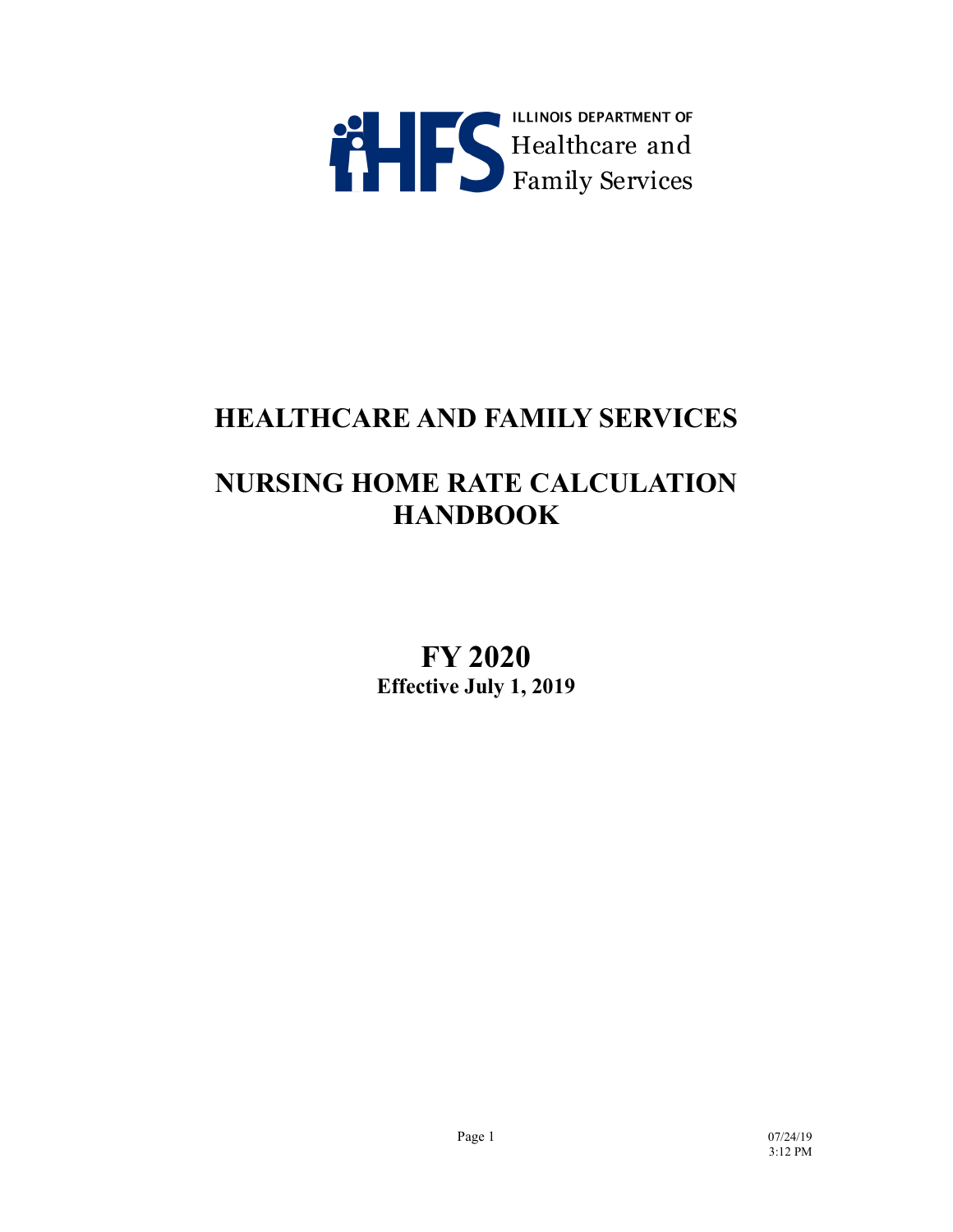

# **HEALTHCARE AND FAMILY SERVICES**

# **NURSING HOME RATE CALCULATION HANDBOOK**

**FY 2020 Effective July 1, 2019**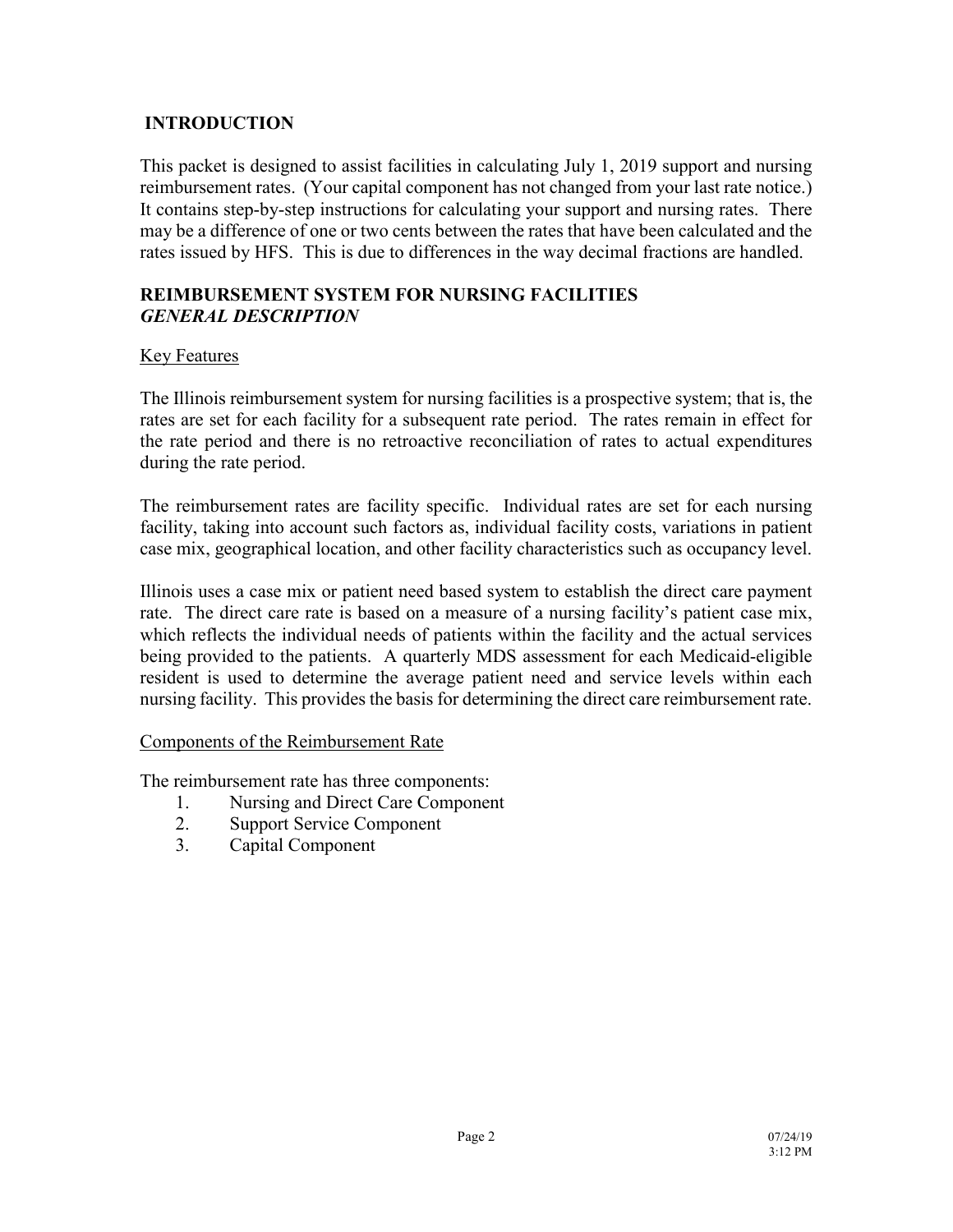# **INTRODUCTION**

This packet is designed to assist facilities in calculating July 1, 2019 support and nursing reimbursement rates. (Your capital component has not changed from your last rate notice.) It contains step-by-step instructions for calculating your support and nursing rates. There may be a difference of one or two cents between the rates that have been calculated and the rates issued by HFS. This is due to differences in the way decimal fractions are handled.

## **REIMBURSEMENT SYSTEM FOR NURSING FACILITIES** *GENERAL DESCRIPTION*

# Key Features

The Illinois reimbursement system for nursing facilities is a prospective system; that is, the rates are set for each facility for a subsequent rate period. The rates remain in effect for the rate period and there is no retroactive reconciliation of rates to actual expenditures during the rate period.

The reimbursement rates are facility specific. Individual rates are set for each nursing facility, taking into account such factors as, individual facility costs, variations in patient case mix, geographical location, and other facility characteristics such as occupancy level.

Illinois uses a case mix or patient need based system to establish the direct care payment rate. The direct care rate is based on a measure of a nursing facility's patient case mix, which reflects the individual needs of patients within the facility and the actual services being provided to the patients. A quarterly MDS assessment for each Medicaid-eligible resident is used to determine the average patient need and service levels within each nursing facility. This provides the basis for determining the direct care reimbursement rate.

# Components of the Reimbursement Rate

The reimbursement rate has three components:

- 1. Nursing and Direct Care Component
- 2. Support Service Component
- 3. Capital Component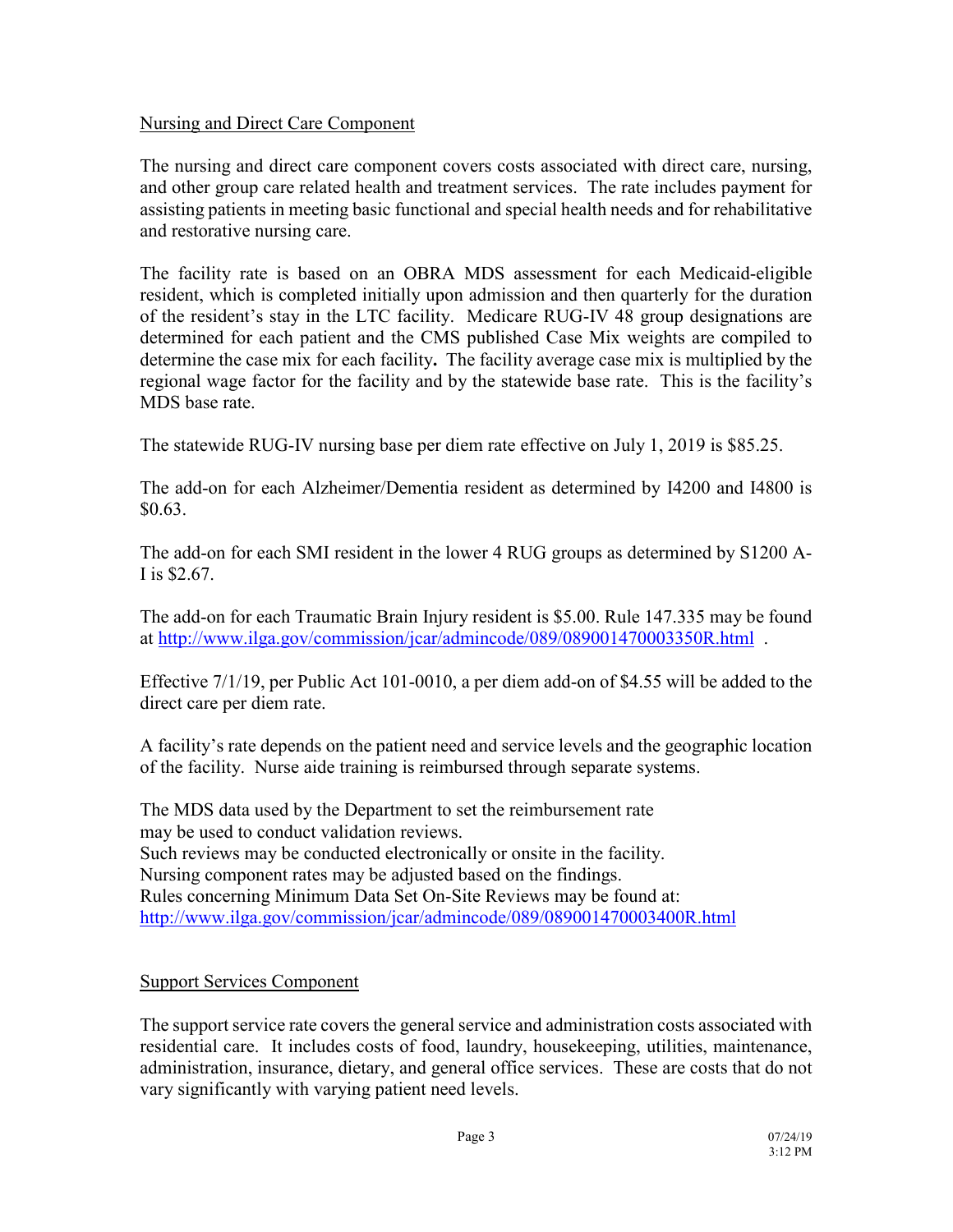# Nursing and Direct Care Component

The nursing and direct care component covers costs associated with direct care, nursing, and other group care related health and treatment services. The rate includes payment for assisting patients in meeting basic functional and special health needs and for rehabilitative and restorative nursing care.

The facility rate is based on an OBRA MDS assessment for each Medicaid-eligible resident, which is completed initially upon admission and then quarterly for the duration of the resident's stay in the LTC facility. Medicare RUG-IV 48 group designations are determined for each patient and the CMS published Case Mix weights are compiled to determine the case mix for each facility**.** The facility average case mix is multiplied by the regional wage factor for the facility and by the statewide base rate. This is the facility's MDS base rate.

The statewide RUG-IV nursing base per diem rate effective on July 1, 2019 is \$85.25.

The add-on for each Alzheimer/Dementia resident as determined by I4200 and I4800 is \$0.63.

The add-on for each SMI resident in the lower 4 RUG groups as determined by S1200 A-I is \$2.67.

The add-on for each Traumatic Brain Injury resident is \$5.00. Rule 147.335 may be found at<http://www.ilga.gov/commission/jcar/admincode/089/089001470003350R.html> .

Effective 7/1/19, per Public Act 101-0010, a per diem add-on of \$4.55 will be added to the direct care per diem rate.

A facility's rate depends on the patient need and service levels and the geographic location of the facility. Nurse aide training is reimbursed through separate systems.

The MDS data used by the Department to set the reimbursement rate may be used to conduct validation reviews. Such reviews may be conducted electronically or onsite in the facility. Nursing component rates may be adjusted based on the findings. Rules concerning Minimum Data Set On-Site Reviews may be found at: <http://www.ilga.gov/commission/jcar/admincode/089/089001470003400R.html>

#### Support Services Component

The support service rate covers the general service and administration costs associated with residential care. It includes costs of food, laundry, housekeeping, utilities, maintenance, administration, insurance, dietary, and general office services. These are costs that do not vary significantly with varying patient need levels.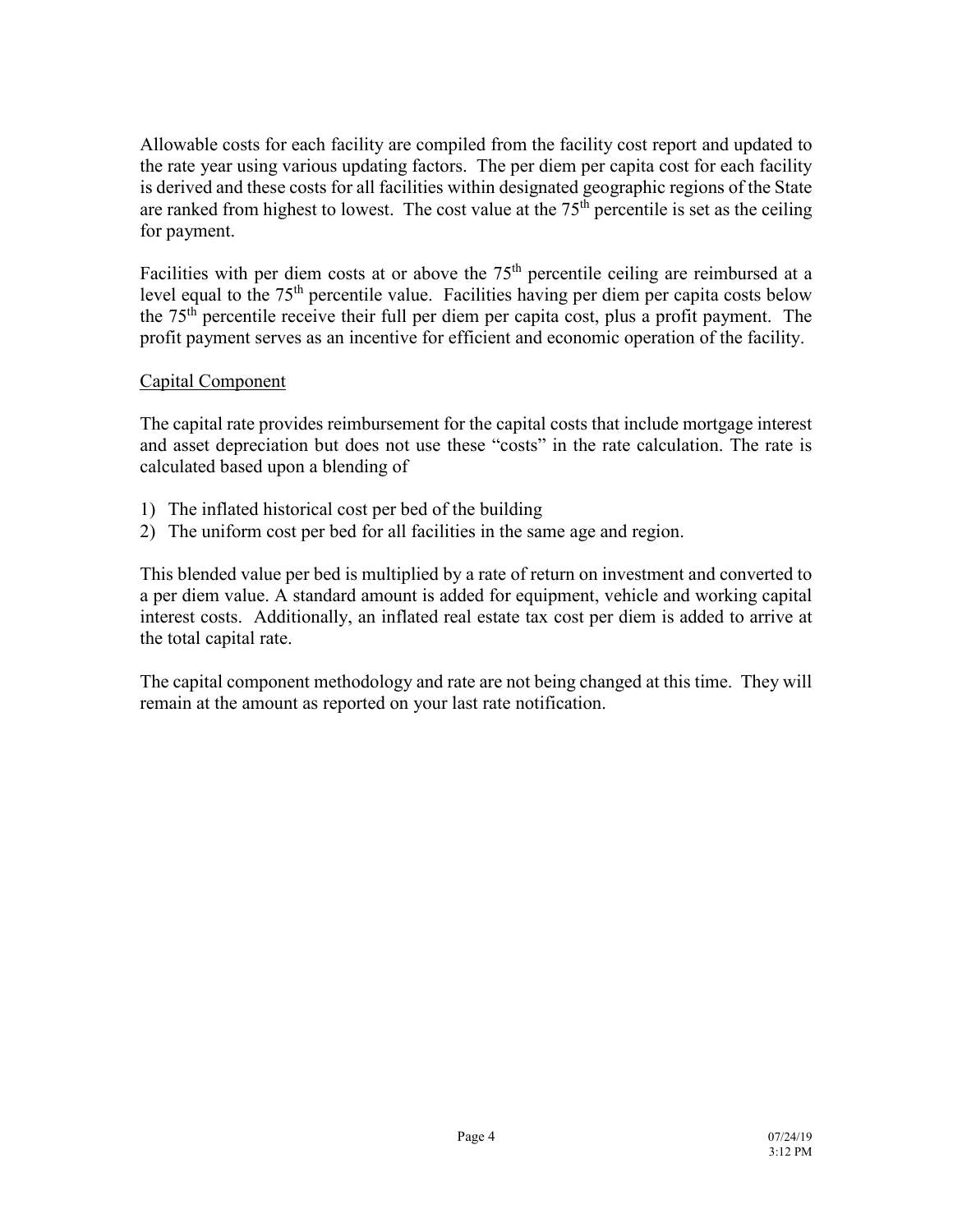Allowable costs for each facility are compiled from the facility cost report and updated to the rate year using various updating factors. The per diem per capita cost for each facility is derived and these costs for all facilities within designated geographic regions of the State are ranked from highest to lowest. The cost value at the  $75<sup>th</sup>$  percentile is set as the ceiling for payment.

Facilities with per diem costs at or above the 75<sup>th</sup> percentile ceiling are reimbursed at a level equal to the  $75<sup>th</sup>$  percentile value. Facilities having per diem per capita costs below the 75th percentile receive their full per diem per capita cost, plus a profit payment. The profit payment serves as an incentive for efficient and economic operation of the facility.

## Capital Component

The capital rate provides reimbursement for the capital costs that include mortgage interest and asset depreciation but does not use these "costs" in the rate calculation. The rate is calculated based upon a blending of

- 1) The inflated historical cost per bed of the building
- 2) The uniform cost per bed for all facilities in the same age and region.

This blended value per bed is multiplied by a rate of return on investment and converted to a per diem value. A standard amount is added for equipment, vehicle and working capital interest costs. Additionally, an inflated real estate tax cost per diem is added to arrive at the total capital rate.

The capital component methodology and rate are not being changed at this time. They will remain at the amount as reported on your last rate notification.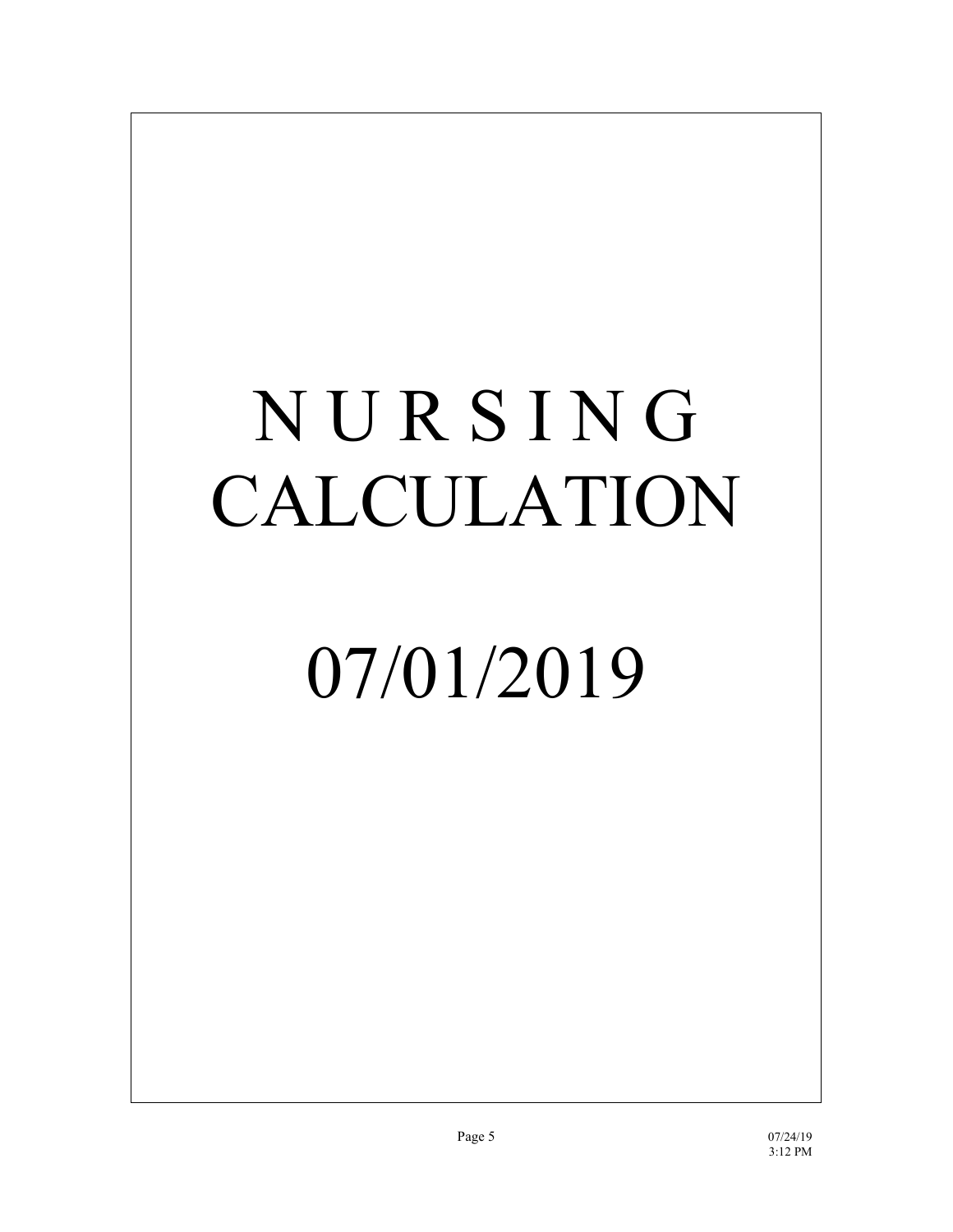# N U R S I N G CALCULATION

# 07/01/2019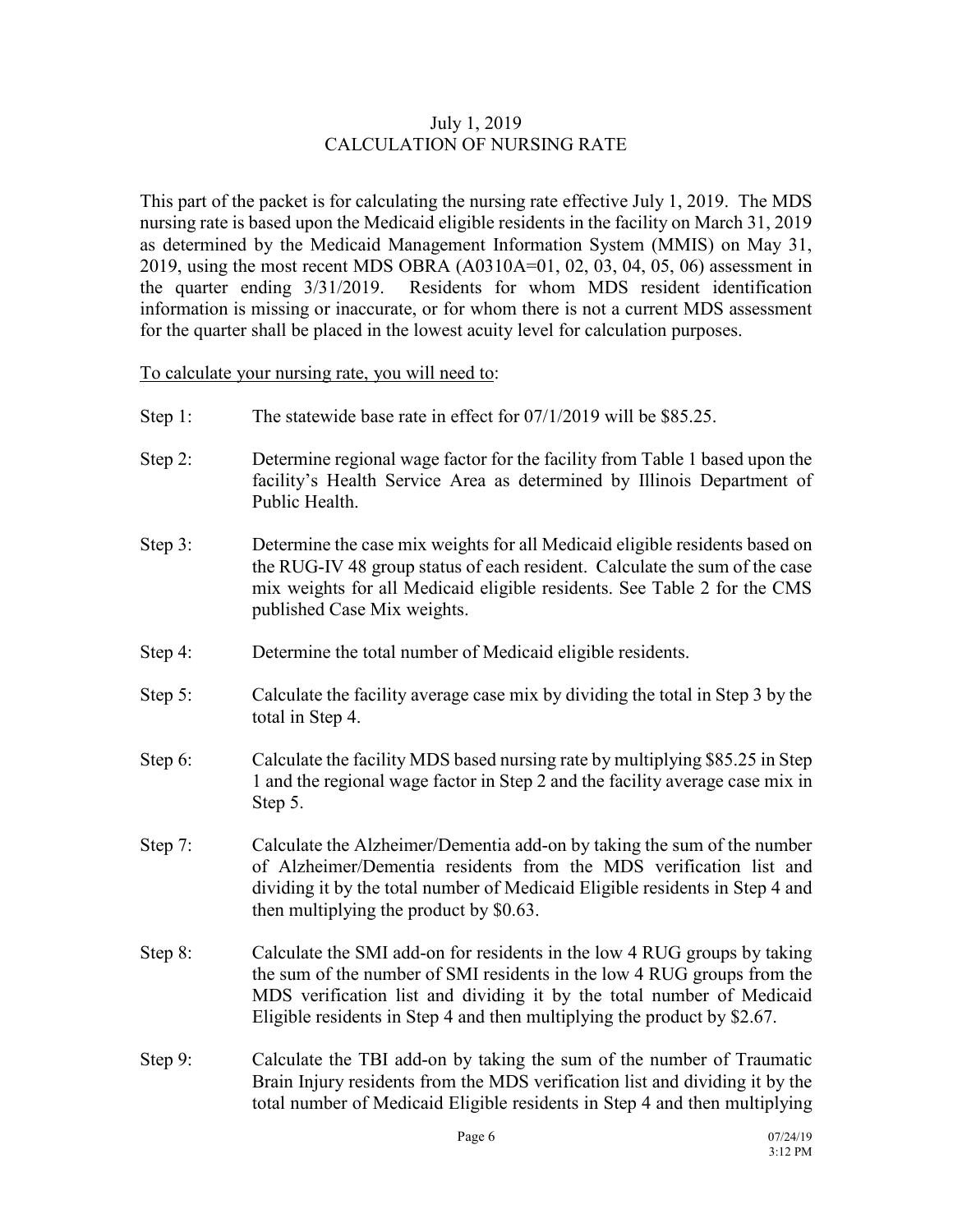## July 1, 2019 CALCULATION OF NURSING RATE

This part of the packet is for calculating the nursing rate effective July 1, 2019. The MDS nursing rate is based upon the Medicaid eligible residents in the facility on March 31, 2019 as determined by the Medicaid Management Information System (MMIS) on May 31, 2019, using the most recent MDS OBRA (A0310A=01, 02, 03, 04, 05, 06) assessment in the quarter ending 3/31/2019. Residents for whom MDS resident identification information is missing or inaccurate, or for whom there is not a current MDS assessment for the quarter shall be placed in the lowest acuity level for calculation purposes.

To calculate your nursing rate, you will need to:

- Step 1: The statewide base rate in effect for 07/1/2019 will be \$85.25.
- Step 2: Determine regional wage factor for the facility from Table 1 based upon the facility's Health Service Area as determined by Illinois Department of Public Health.
- Step 3: Determine the case mix weights for all Medicaid eligible residents based on the RUG-IV 48 group status of each resident. Calculate the sum of the case mix weights for all Medicaid eligible residents. See Table 2 for the CMS published Case Mix weights.
- Step 4: Determine the total number of Medicaid eligible residents.
- Step 5: Calculate the facility average case mix by dividing the total in Step 3 by the total in Step 4.
- Step 6: Calculate the facility MDS based nursing rate by multiplying \$85.25 in Step 1 and the regional wage factor in Step 2 and the facility average case mix in Step 5.
- Step 7: Calculate the Alzheimer/Dementia add-on by taking the sum of the number of Alzheimer/Dementia residents from the MDS verification list and dividing it by the total number of Medicaid Eligible residents in Step 4 and then multiplying the product by \$0.63.
- Step 8: Calculate the SMI add-on for residents in the low 4 RUG groups by taking the sum of the number of SMI residents in the low 4 RUG groups from the MDS verification list and dividing it by the total number of Medicaid Eligible residents in Step 4 and then multiplying the product by \$2.67.
- Step 9: Calculate the TBI add-on by taking the sum of the number of Traumatic Brain Injury residents from the MDS verification list and dividing it by the total number of Medicaid Eligible residents in Step 4 and then multiplying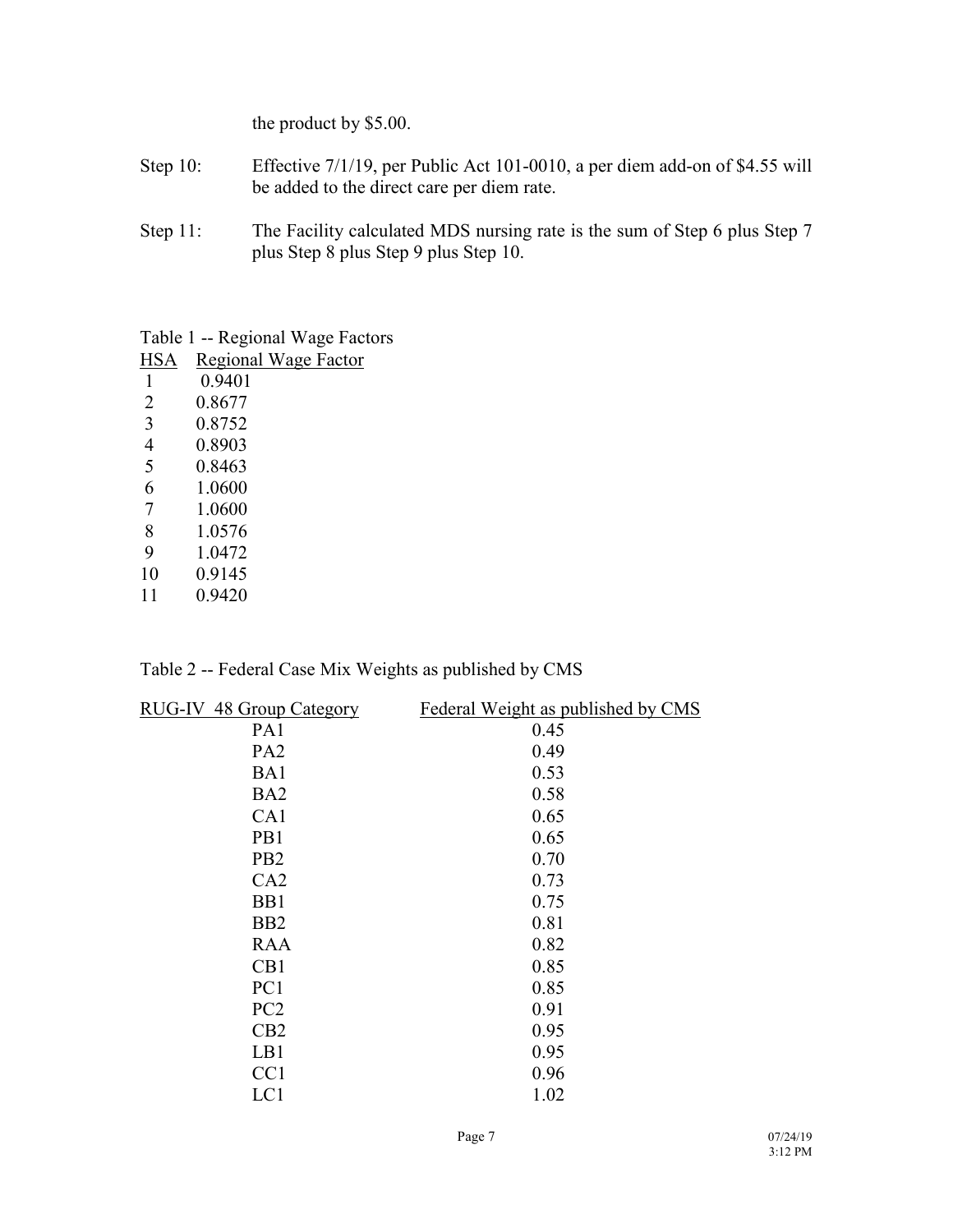the product by \$5.00.

- Step 10: Effective 7/1/19, per Public Act 101-0010, a per diem add-on of \$4.55 will be added to the direct care per diem rate.
- Step 11: The Facility calculated MDS nursing rate is the sum of Step 6 plus Step 7 plus Step 8 plus Step 9 plus Step 10.

Table 1 -- Regional Wage Factors

| <b>HSA</b> | Regional Wage Factor |
|------------|----------------------|
| 1          | 0.9401               |
| 2          | 0.8677               |
| 3          | 0.8752               |
| 4          | 0.8903               |
| 5          | 0.8463               |
| 6          | 1 0600               |
| 7          | 1 0600               |
| 8          | 1.0576               |
| 9          | 1 0472               |
| 10         | 0.9145               |
| 11         | 0 9420               |

| Table 2 -- Federal Case Mix Weights as published by CMS |
|---------------------------------------------------------|
|---------------------------------------------------------|

| RUG-IV 48 Group Category | Federal Weight as published by CMS |
|--------------------------|------------------------------------|
| PA1                      | 0.45                               |
| PA <sub>2</sub>          | 0.49                               |
| BA1                      | 0.53                               |
| BA <sub>2</sub>          | 0.58                               |
| CA1                      | 0.65                               |
| PB1                      | 0.65                               |
| P <sub>B2</sub>          | 0.70                               |
| CA2                      | 0.73                               |
| B <sub>B1</sub>          | 0.75                               |
| B <sub>B2</sub>          | 0.81                               |
| <b>RAA</b>               | 0.82                               |
| CB1                      | 0.85                               |
| PC1                      | 0.85                               |
| PC <sub>2</sub>          | 0.91                               |
| CB2                      | 0.95                               |
| LB1                      | 0.95                               |
| CC <sub>1</sub>          | 0.96                               |
| LC1                      | 1.02                               |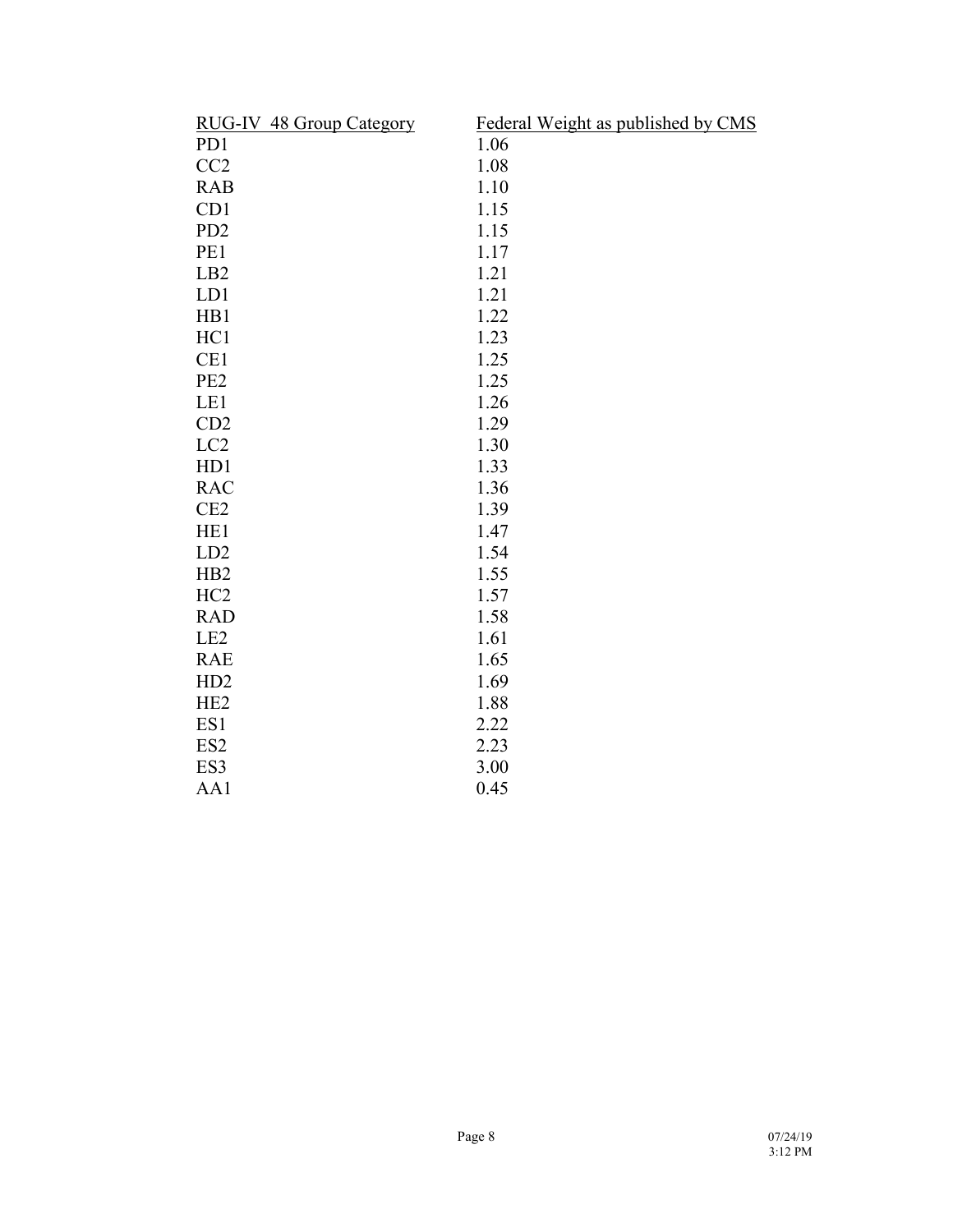| Federal Weight as published by CMS |
|------------------------------------|
| 1.06                               |
| 1.08                               |
| 1.10                               |
| 1.15                               |
| 1.15                               |
| 1.17                               |
| 1.21                               |
| 1.21                               |
| 1.22                               |
| 1.23                               |
| 1.25                               |
| 1.25                               |
| 1.26                               |
| 1.29                               |
| 1.30                               |
| 1.33                               |
| 1.36                               |
| 1.39                               |
| 1.47                               |
| 1.54                               |
| 1.55                               |
| 1.57                               |
| 1.58                               |
| 1.61                               |
| 1.65                               |
| 1.69                               |
| 1.88                               |
| 2.22                               |
| 2.23                               |
| 3.00                               |
| 0.45                               |
|                                    |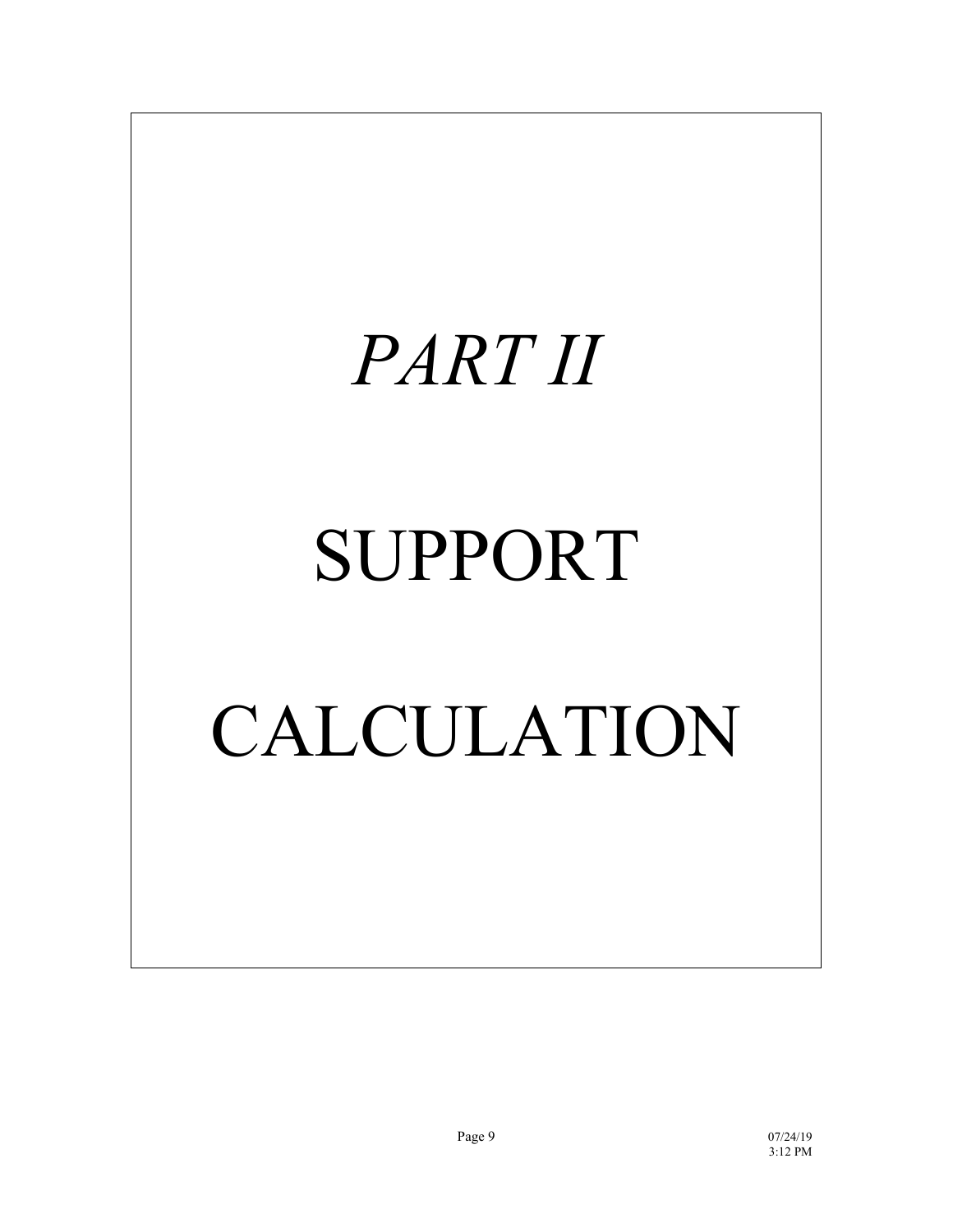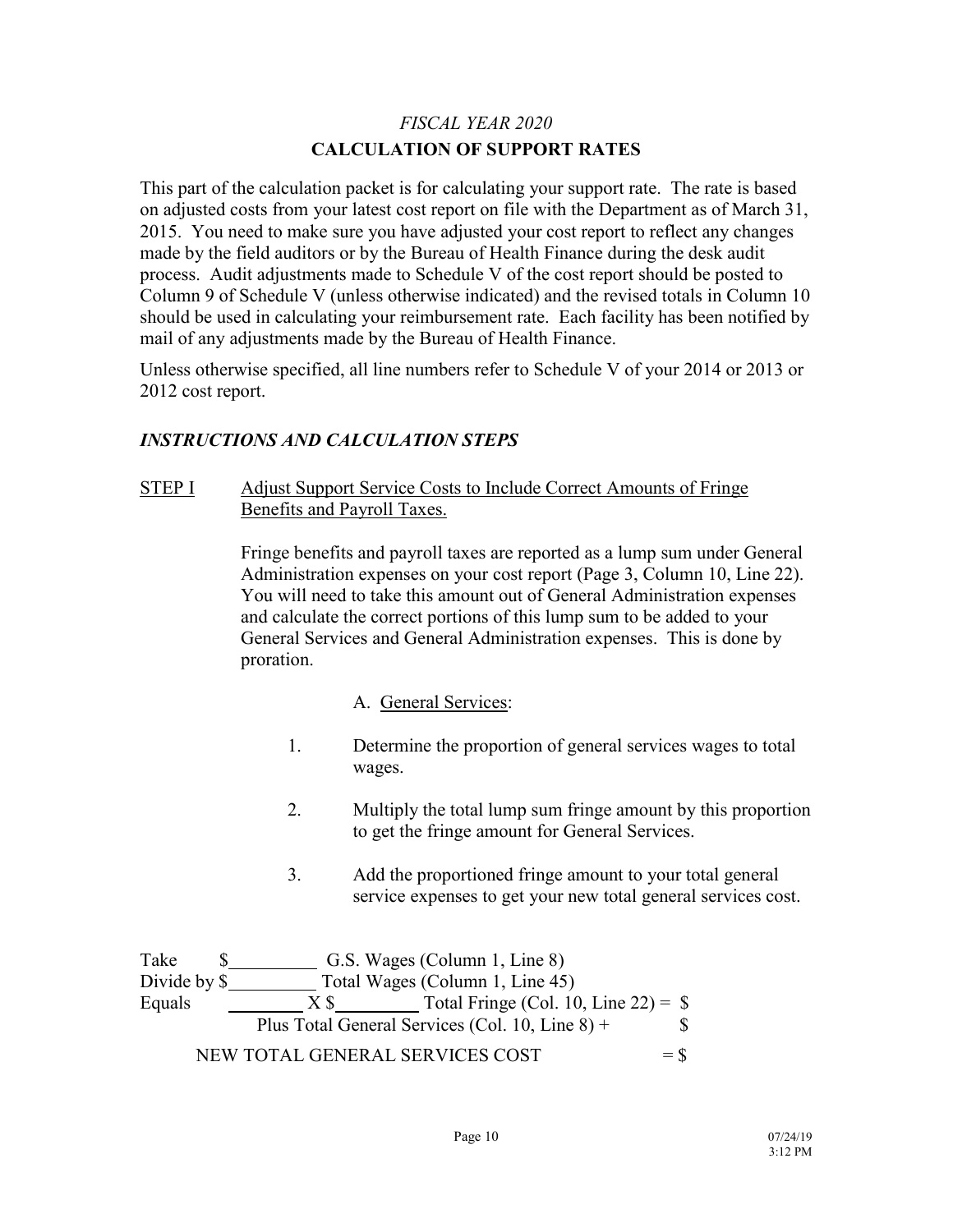# *FISCAL YEAR 2020* **CALCULATION OF SUPPORT RATES**

This part of the calculation packet is for calculating your support rate. The rate is based on adjusted costs from your latest cost report on file with the Department as of March 31, 2015. You need to make sure you have adjusted your cost report to reflect any changes made by the field auditors or by the Bureau of Health Finance during the desk audit process. Audit adjustments made to Schedule V of the cost report should be posted to Column 9 of Schedule V (unless otherwise indicated) and the revised totals in Column 10 should be used in calculating your reimbursement rate. Each facility has been notified by mail of any adjustments made by the Bureau of Health Finance.

Unless otherwise specified, all line numbers refer to Schedule V of your 2014 or 2013 or 2012 cost report.

# *INSTRUCTIONS AND CALCULATION STEPS*

# STEP I Adjust Support Service Costs to Include Correct Amounts of Fringe Benefits and Payroll Taxes.

Fringe benefits and payroll taxes are reported as a lump sum under General Administration expenses on your cost report (Page 3, Column 10, Line 22). You will need to take this amount out of General Administration expenses and calculate the correct portions of this lump sum to be added to your General Services and General Administration expenses. This is done by proration.

# A. General Services:

- 1. Determine the proportion of general services wages to total wages.
- 2. Multiply the total lump sum fringe amount by this proportion to get the fringe amount for General Services.
- 3. Add the proportioned fringe amount to your total general service expenses to get your new total general services cost.

Take  $\$\$  G.S. Wages (Column 1, Line 8) Divide by \$ Total Wages (Column 1, Line 45) Equals  $X \$  Total Fringe (Col. 10, Line 22) =  $\$ Plus Total General Services (Col. 10, Line  $8$ ) +  $\$$  $NEW TOTAL GENERAL SERVICES COST =  $$$$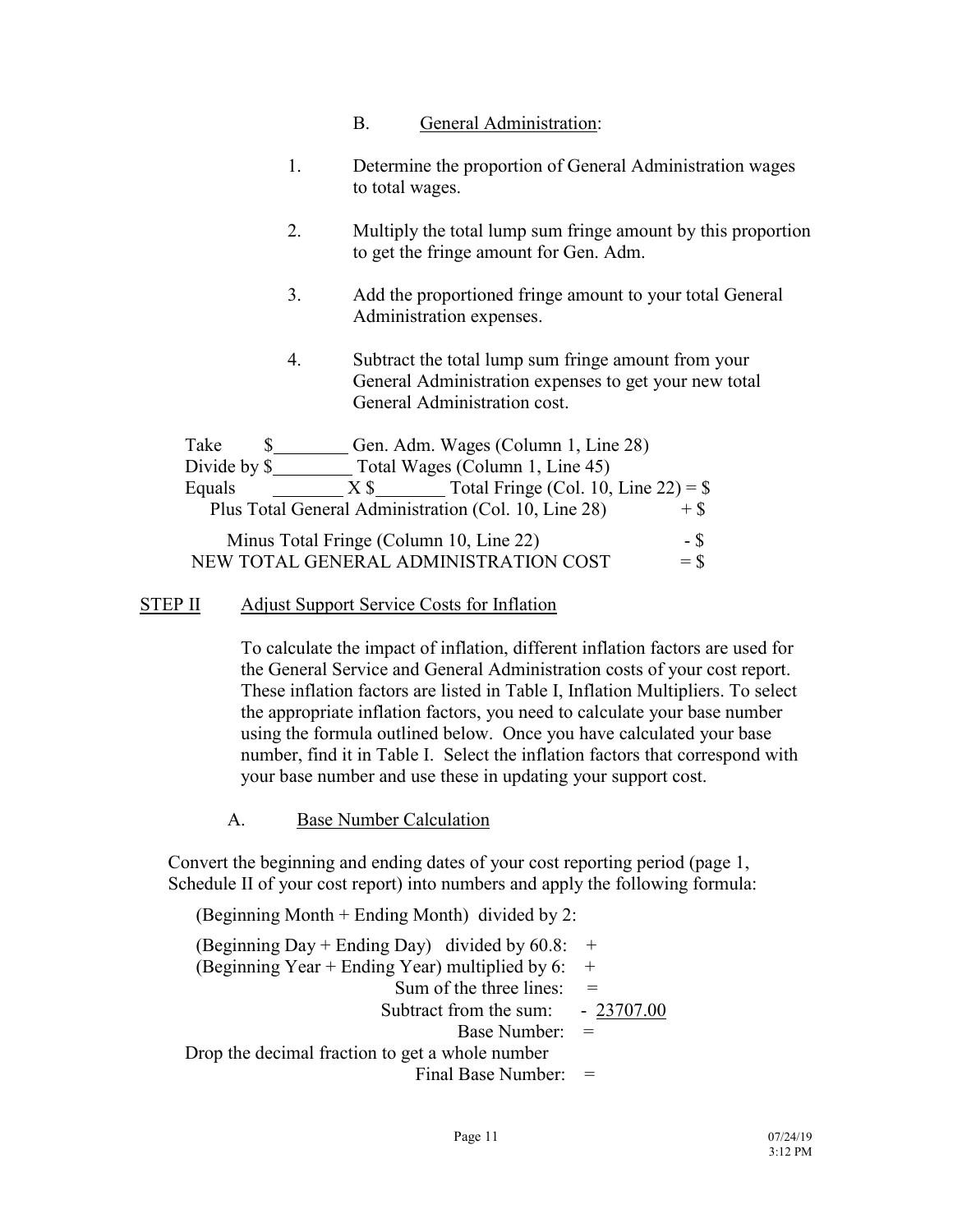- B. General Administration:
- 1. Determine the proportion of General Administration wages to total wages.
- 2. Multiply the total lump sum fringe amount by this proportion to get the fringe amount for Gen. Adm.
- 3. Add the proportioned fringe amount to your total General Administration expenses.
- 4. Subtract the total lump sum fringe amount from your General Administration expenses to get your new total General Administration cost.

| Take         |        | Gen. Adm. Wages (Column 1, Line 28)                  |        |
|--------------|--------|------------------------------------------------------|--------|
| Divide by \$ |        | Total Wages (Column 1, Line 45)                      |        |
| Equals       | $X$ \$ | Total Fringe (Col. 10, Line $22$ ) = \$              |        |
|              |        | Plus Total General Administration (Col. 10, Line 28) | $+$ \$ |
|              |        | Minus Total Fringe (Column 10, Line 22)              | - \$   |
|              |        | NEW TOTAL GENERAL ADMINISTRATION COST                | $=$ \$ |

#### STEP II Adjust Support Service Costs for Inflation

To calculate the impact of inflation, different inflation factors are used for the General Service and General Administration costs of your cost report. These inflation factors are listed in Table I, Inflation Multipliers. To select the appropriate inflation factors, you need to calculate your base number using the formula outlined below. Once you have calculated your base number, find it in Table I. Select the inflation factors that correspond with your base number and use these in updating your support cost.

A. Base Number Calculation

Convert the beginning and ending dates of your cost reporting period (page 1, Schedule II of your cost report) into numbers and apply the following formula:

(Beginning Month + Ending Month) divided by 2:

(Beginning Day + Ending Day) divided by  $60.8$ : + (Beginning Year + Ending Year) multiplied by  $6:$  + Sum of the three lines:  $=$ Subtract from the sum: - 23707.00 Base Number: = Drop the decimal fraction to get a whole number Final Base Number: =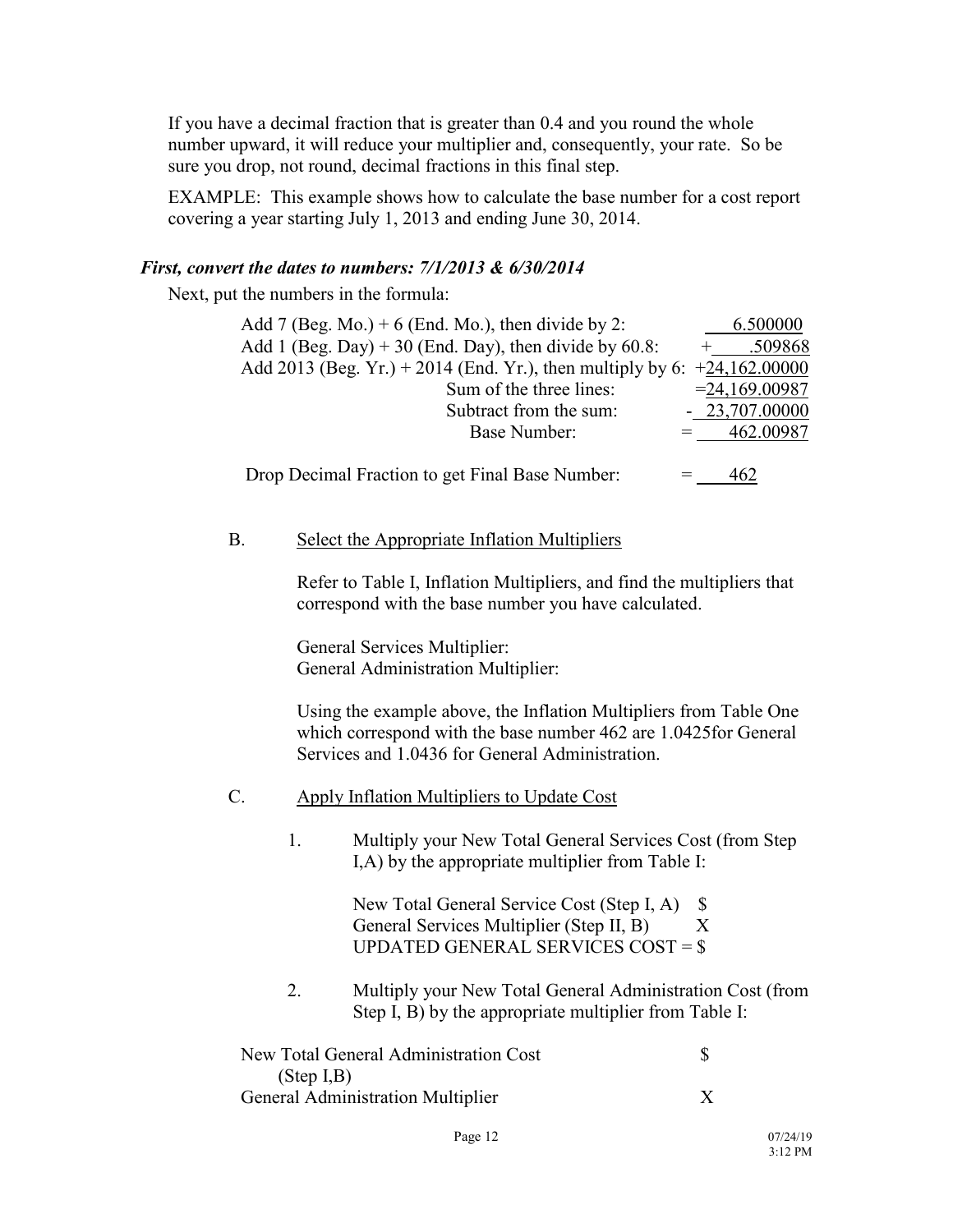If you have a decimal fraction that is greater than 0.4 and you round the whole number upward, it will reduce your multiplier and, consequently, your rate. So be sure you drop, not round, decimal fractions in this final step.

EXAMPLE: This example shows how to calculate the base number for a cost report covering a year starting July 1, 2013 and ending June 30, 2014.

#### *First, convert the dates to numbers: 7/1/2013 & 6/30/2014*

Next, put the numbers in the formula:

| Add 7 (Beg. Mo.) + 6 (End. Mo.), then divide by 2:                         | 6.500000         |
|----------------------------------------------------------------------------|------------------|
| Add 1 (Beg. Day) + 30 (End. Day), then divide by $60.8$ :                  | .509868          |
| Add 2013 (Beg. Yr.) + 2014 (End. Yr.), then multiply by 6: $+24,162,00000$ |                  |
| Sum of the three lines:                                                    | $= 24,169.00987$ |
| Subtract from the sum:                                                     | $-23,707,00000$  |
| Base Number:                                                               | 462.00987        |
|                                                                            |                  |
| Drop Decimal Fraction to get Final Base Number:                            | 462              |

#### B. Select the Appropriate Inflation Multipliers

Refer to Table I, Inflation Multipliers, and find the multipliers that correspond with the base number you have calculated.

General Services Multiplier: General Administration Multiplier:

Using the example above, the Inflation Multipliers from Table One which correspond with the base number 462 are 1.0425for General Services and 1.0436 for General Administration.

- C. Apply Inflation Multipliers to Update Cost
	- 1. Multiply your New Total General Services Cost (from Step I,A) by the appropriate multiplier from Table I:

New Total General Service Cost (Step I, A) \$ General Services Multiplier (Step II, B) X UPDATED GENERAL SERVICES COST = \$

2. Multiply your New Total General Administration Cost (from Step I, B) by the appropriate multiplier from Table I:

| New Total General Administration Cost |  |
|---------------------------------------|--|
| (Step I, B)                           |  |
| General Administration Multiplier     |  |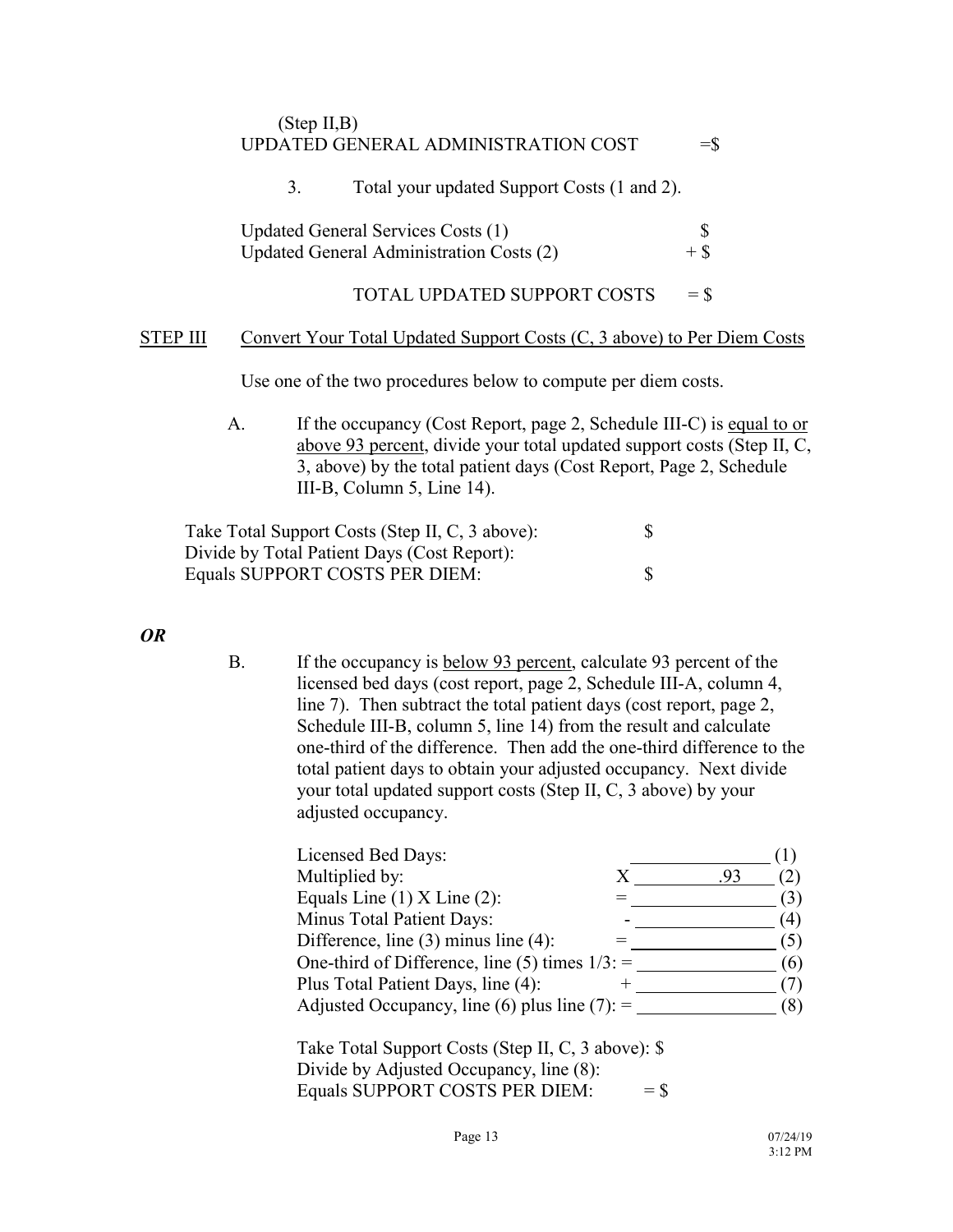### (Step II,B) UPDATED GENERAL ADMINISTRATION COST  $=$   $\frac{1}{5}$

# 3. Total your updated Support Costs (1 and 2). Updated General Services Costs (1)<br>
Undated General Administration Costs (2)  $+$  \$ Updated General Administration Costs (2) + \$ TOTAL UPDATED SUPPORT COSTS  $= $$ STEP III Convert Your Total Updated Support Costs (C, 3 above) to Per Diem Costs Use one of the two procedures below to compute per diem costs.

A. If the occupancy (Cost Report, page 2, Schedule III-C) is equal to or above 93 percent, divide your total updated support costs (Step II, C, 3, above) by the total patient days (Cost Report, Page 2, Schedule III-B, Column 5, Line 14).

Take Total Support Costs (Step II, C, 3 above):  $\$ Divide by Total Patient Days (Cost Report): Equals SUPPORT COSTS PER DIEM:  $\$\$$ 

# *OR*

B. If the occupancy is below 93 percent, calculate 93 percent of the licensed bed days (cost report, page 2, Schedule III-A, column 4, line 7). Then subtract the total patient days (cost report, page 2, Schedule III-B, column 5, line 14) from the result and calculate one-third of the difference. Then add the one-third difference to the total patient days to obtain your adjusted occupancy. Next divide your total updated support costs (Step II, C, 3 above) by your adjusted occupancy.

| Licensed Bed Days:                                |     |     |
|---------------------------------------------------|-----|-----|
| Multiplied by:                                    | .93 |     |
| Equals Line $(1)$ X Line $(2)$ :                  |     | (3) |
| Minus Total Patient Days:                         |     | (4) |
| Difference, line $(3)$ minus line $(4)$ :         |     | (5) |
| One-third of Difference, line (5) times $1/3$ : = |     | (6) |
| Plus Total Patient Days, line (4):                |     |     |
| Adjusted Occupancy, line (6) plus line (7): $=$   |     | (8) |

Take Total Support Costs (Step II, C, 3 above): \$ Divide by Adjusted Occupancy, line (8): Equals SUPPORT COSTS PER DIEM:  $=$  \$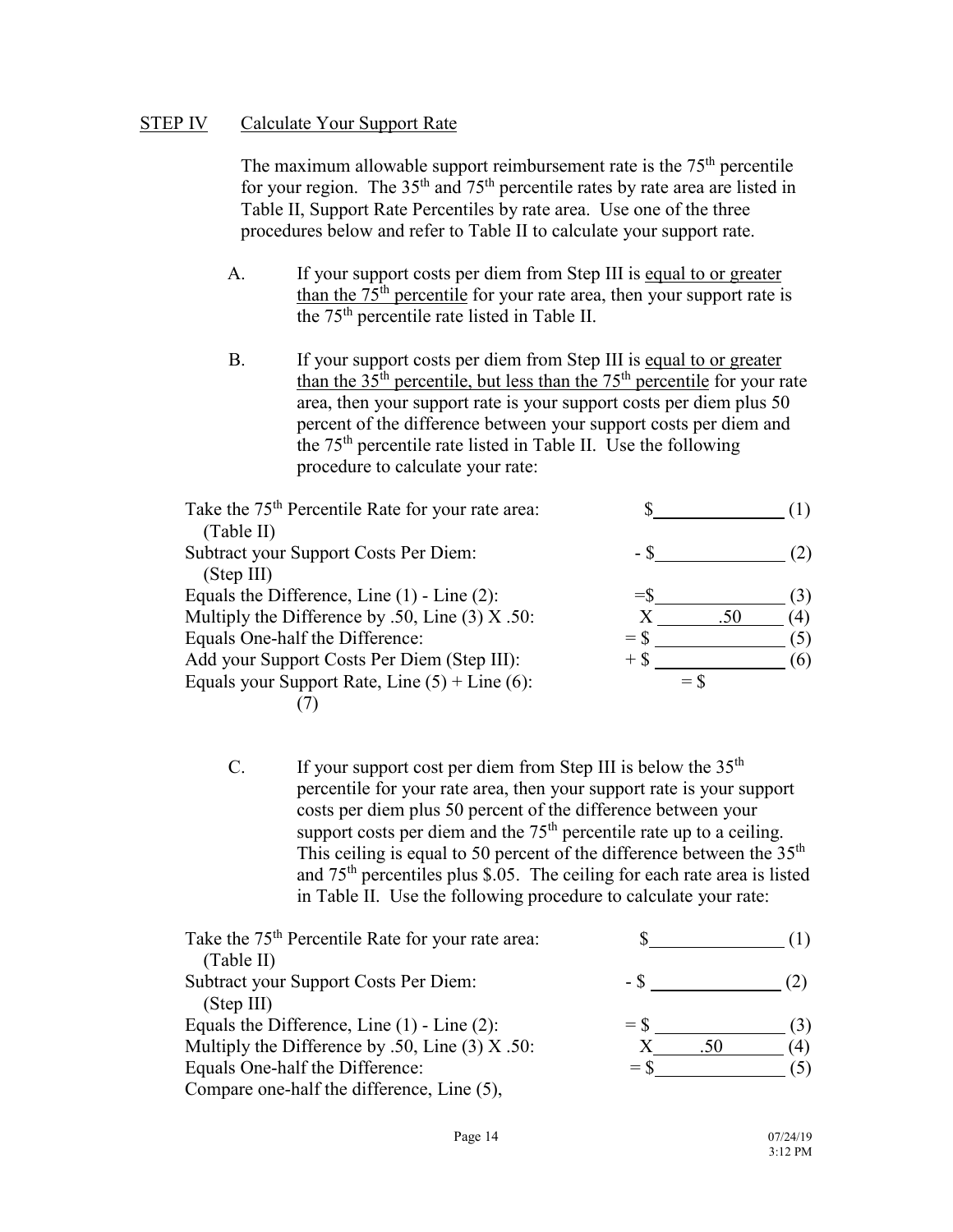## STEP IV Calculate Your Support Rate

The maximum allowable support reimbursement rate is the 75<sup>th</sup> percentile for your region. The  $35<sup>th</sup>$  and  $75<sup>th</sup>$  percentile rates by rate area are listed in Table II, Support Rate Percentiles by rate area. Use one of the three procedures below and refer to Table II to calculate your support rate.

- A. If your support costs per diem from Step III is equal to or greater than the  $75<sup>th</sup>$  percentile for your rate area, then your support rate is the 75th percentile rate listed in Table II.
- B. If your support costs per diem from Step III is equal to or greater than the  $35<sup>th</sup>$  percentile, but less than the  $75<sup>th</sup>$  percentile for your rate area, then your support rate is your support costs per diem plus 50 percent of the difference between your support costs per diem and the 75th percentile rate listed in Table II. Use the following procedure to calculate your rate:

| Take the 75 <sup>th</sup> Percentile Rate for your rate area: |        |     |     |
|---------------------------------------------------------------|--------|-----|-----|
| (Table II)                                                    |        |     |     |
| Subtract your Support Costs Per Diem:                         | - 8    |     |     |
| (Step III)                                                    |        |     |     |
| Equals the Difference, Line $(1)$ - Line $(2)$ :              |        |     | (3) |
| Multiply the Difference by .50, Line $(3)$ X .50:             |        | .50 | (4) |
| Equals One-half the Difference:                               | $=$ \$ |     | (5) |
| Add your Support Costs Per Diem (Step III):                   |        |     | (6) |
| Equals your Support Rate, Line $(5)$ + Line $(6)$ :           | $=$ S  |     |     |
|                                                               |        |     |     |

C. If your support cost per diem from Step III is below the  $35<sup>th</sup>$ percentile for your rate area, then your support rate is your support costs per diem plus 50 percent of the difference between your support costs per diem and the  $75<sup>th</sup>$  percentile rate up to a ceiling. This ceiling is equal to 50 percent of the difference between the  $35<sup>th</sup>$ and 75th percentiles plus \$.05. The ceiling for each rate area is listed in Table II. Use the following procedure to calculate your rate:

| Take the 75 <sup>th</sup> Percentile Rate for your rate area: |    |
|---------------------------------------------------------------|----|
| (Table II)                                                    |    |
| Subtract your Support Costs Per Diem:                         |    |
| (Stop III)                                                    |    |
| Equals the Difference, Line $(1)$ - Line $(2)$ :<br>$=$ S     |    |
| Multiply the Difference by .50, Line $(3)$ X .50:             | 4) |
| Equals One-half the Difference:                               |    |
| Compare one-half the difference, Line (5),                    |    |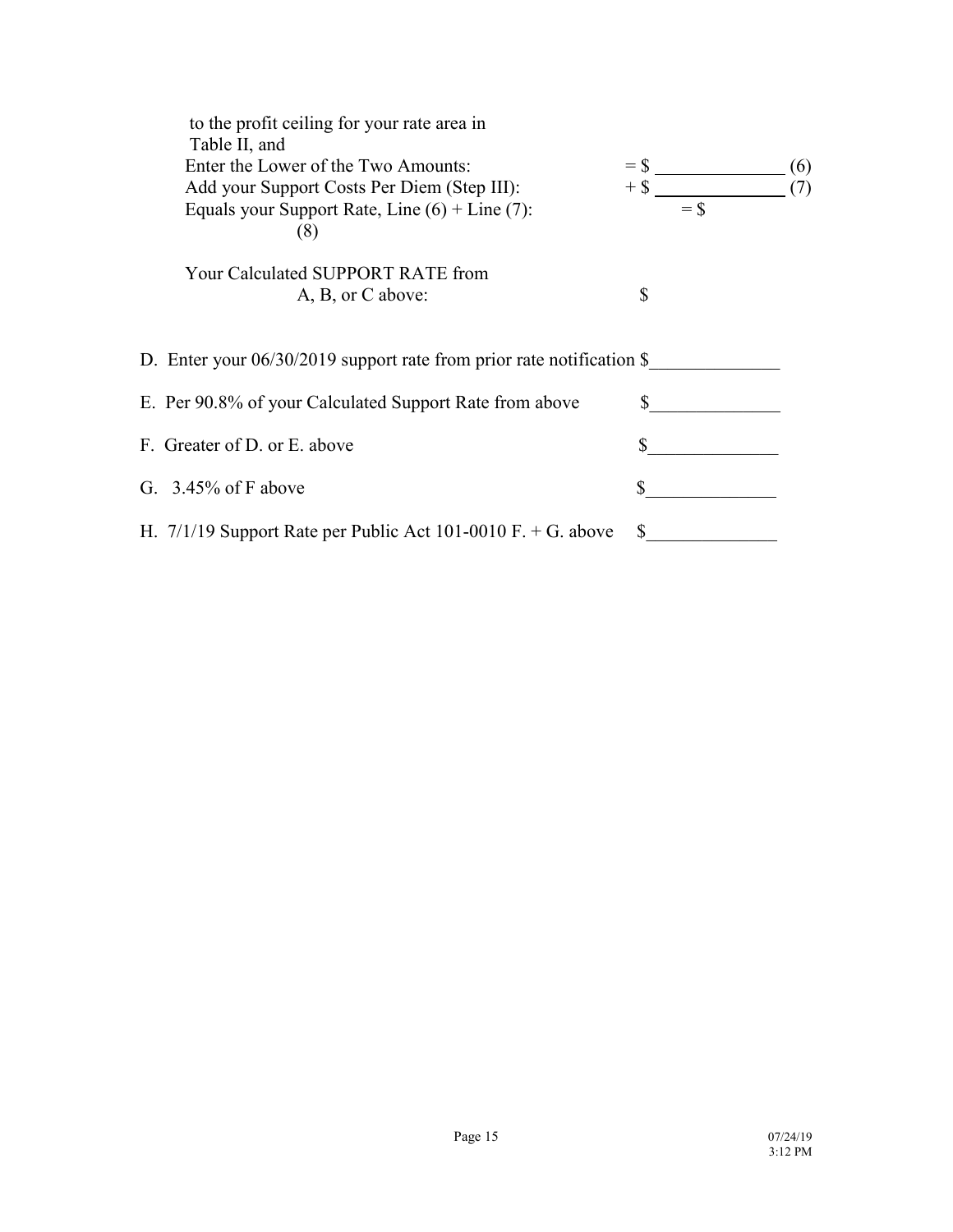| to the profit ceiling for your rate area in<br>Table II, and<br>Enter the Lower of the Two Amounts:<br>Add your Support Costs Per Diem (Step III):<br>Equals your Support Rate, Line $(6)$ + Line $(7)$ :<br>(8) | $=$ \$<br>$+$ \$ | $=$ \$ | (6)<br>(7) |
|------------------------------------------------------------------------------------------------------------------------------------------------------------------------------------------------------------------|------------------|--------|------------|
| Your Calculated SUPPORT RATE from<br>A, B, or C above:                                                                                                                                                           | \$               |        |            |
| D. Enter your $06/30/2019$ support rate from prior rate notification \$                                                                                                                                          |                  |        |            |
| E. Per 90.8% of your Calculated Support Rate from above                                                                                                                                                          | S                |        |            |
| F. Greater of D. or E. above                                                                                                                                                                                     | \$               |        |            |
| G. $3.45\%$ of F above                                                                                                                                                                                           |                  |        |            |
| H. $7/1/19$ Support Rate per Public Act 101-0010 F. + G. above                                                                                                                                                   |                  |        |            |